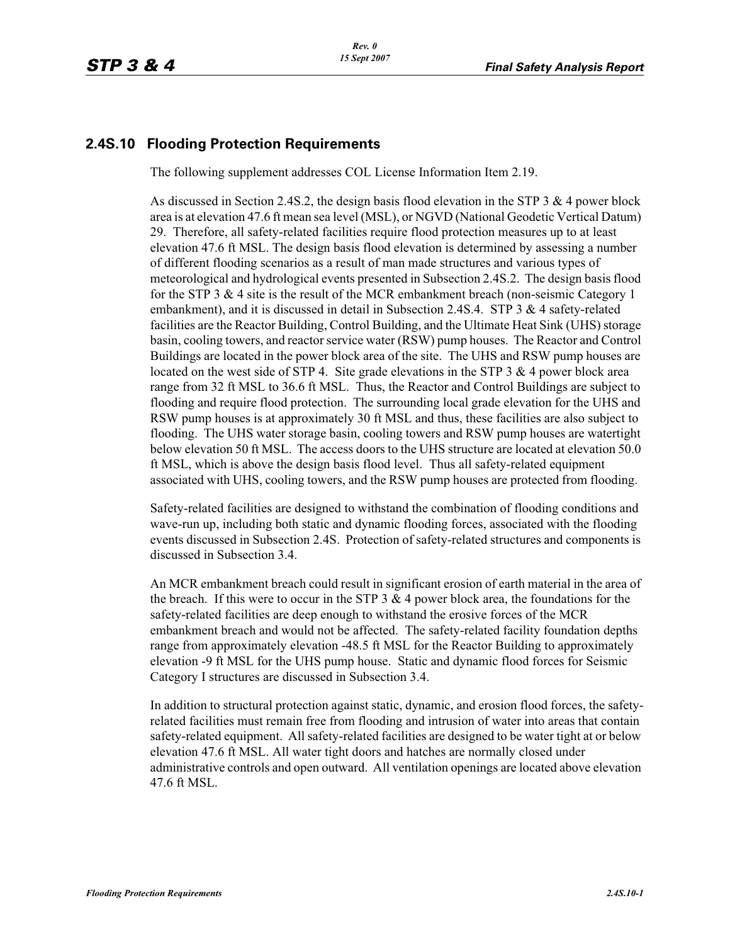## **2.4S.10 Flooding Protection Requirements**

The following supplement addresses COL License Information Item 2.19.

As discussed in Section 2.4S.2, the design basis flood elevation in the STP 3 & 4 power block area is at elevation 47.6 ft mean sea level (MSL), or NGVD (National Geodetic Vertical Datum) 29. Therefore, all safety-related facilities require flood protection measures up to at least elevation 47.6 ft MSL. The design basis flood elevation is determined by assessing a number of different flooding scenarios as a result of man made structures and various types of meteorological and hydrological events presented in Subsection 2.4S.2. The design basis flood for the STP 3  $&$  4 site is the result of the MCR embankment breach (non-seismic Category 1) embankment), and it is discussed in detail in Subsection 2.4S.4. STP 3 & 4 safety-related facilities are the Reactor Building, Control Building, and the Ultimate Heat Sink (UHS) storage basin, cooling towers, and reactor service water (RSW) pump houses. The Reactor and Control Buildings are located in the power block area of the site. The UHS and RSW pump houses are located on the west side of STP 4. Site grade elevations in the STP 3 & 4 power block area range from 32 ft MSL to 36.6 ft MSL. Thus, the Reactor and Control Buildings are subject to flooding and require flood protection. The surrounding local grade elevation for the UHS and RSW pump houses is at approximately 30 ft MSL and thus, these facilities are also subject to flooding. The UHS water storage basin, cooling towers and RSW pump houses are watertight below elevation 50 ft MSL. The access doors to the UHS structure are located at elevation 50.0 ft MSL, which is above the design basis flood level. Thus all safety-related equipment associated with UHS, cooling towers, and the RSW pump houses are protected from flooding.

Safety-related facilities are designed to withstand the combination of flooding conditions and wave-run up, including both static and dynamic flooding forces, associated with the flooding events discussed in Subsection 2.4S. Protection of safety-related structures and components is discussed in Subsection 3.4.

An MCR embankment breach could result in significant erosion of earth material in the area of the breach. If this were to occur in the STP  $3 \& 4$  power block area, the foundations for the safety-related facilities are deep enough to withstand the erosive forces of the MCR embankment breach and would not be affected. The safety-related facility foundation depths range from approximately elevation -48.5 ft MSL for the Reactor Building to approximately elevation -9 ft MSL for the UHS pump house. Static and dynamic flood forces for Seismic Category I structures are discussed in Subsection 3.4.

In addition to structural protection against static, dynamic, and erosion flood forces, the safetyrelated facilities must remain free from flooding and intrusion of water into areas that contain safety-related equipment. All safety-related facilities are designed to be water tight at or below elevation 47.6 ft MSL. All water tight doors and hatches are normally closed under administrative controls and open outward. All ventilation openings are located above elevation 47.6 ft MSL.